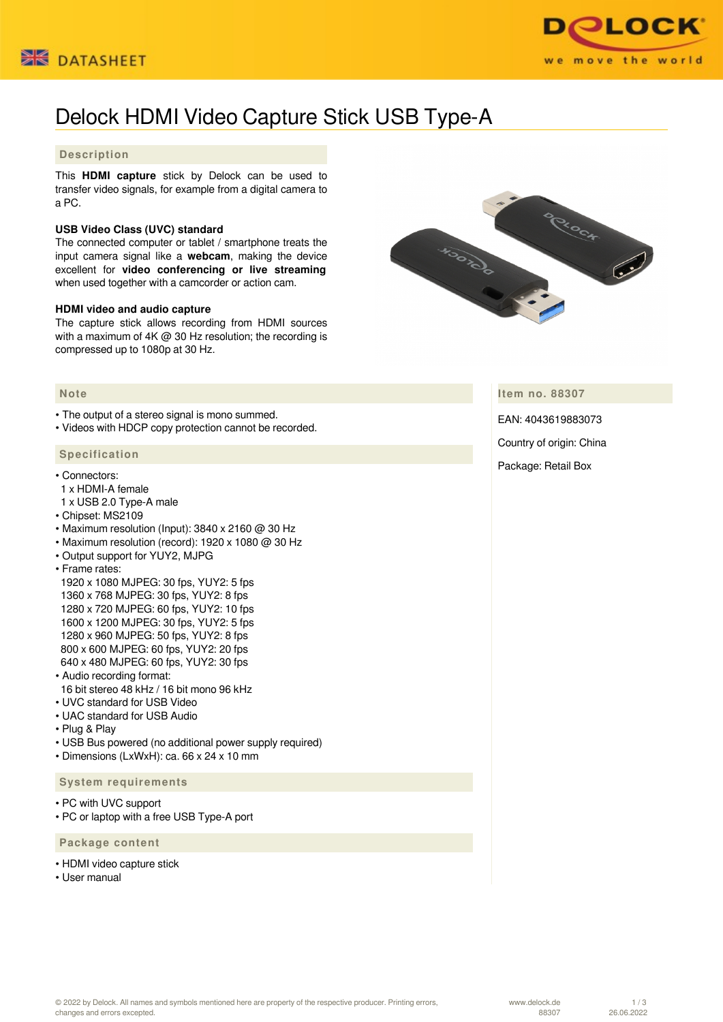



# Delock HDMI Video Capture Stick USB Type-A

## **Description**

This **HDMI capture** stick by Delock can be used to transfer video signals, for example from a digital camera to a PC.

### **USB Video Class (UVC) standard**

The connected computer or tablet / smartphone treats the input camera signal like a **webcam**, making the device excellent for **video conferencing or live streaming** when used together with a camcorder or action cam.

#### **HDMI video and audio capture**

The capture stick allows recording from HDMI sources with a maximum of 4K @ 30 Hz resolution; the recording is compressed up to 1080p at 30 Hz.



• The output of a stereo signal is mono summed.

• Videos with HDCP copy protection cannot be recorded.

#### **Specification**

- Connectors:
- 1 x HDMI-A female
- 1 x USB 2.0 Type-A male
- Chipset: MS2109
- Maximum resolution (Input):  $3840 \times 2160$  @ 30 Hz
- Maximum resolution (record): 1920 x 1080 @ 30 Hz
- Output support for YUY2, MJPG
- Frame rates:

 1920 x 1080 MJPEG: 30 fps, YUY2: 5 fps 1360 x 768 MJPEG: 30 fps, YUY2: 8 fps 1280 x 720 MJPEG: 60 fps, YUY2: 10 fps 1600 x 1200 MJPEG: 30 fps, YUY2: 5 fps 1280 x 960 MJPEG: 50 fps, YUY2: 8 fps 800 x 600 MJPEG: 60 fps, YUY2: 20 fps 640 x 480 MJPEG: 60 fps, YUY2: 30 fps

- Audio recording format:
- 16 bit stereo 48 kHz / 16 bit mono 96 kHz
- UVC standard for USB Video
- UAC standard for USB Audio
- Plug & Play
- USB Bus powered (no additional power supply required)
- Dimensions (LxWxH): ca. 66 x 24 x 10 mm

#### **System requirements**

- PC with UVC support
- PC or laptop with a free USB Type-A port

 **Package content**

- HDMI video capture stick
- Heer manual



**Item no. 88307**

EAN: 4043619883073

Country of origin: China

Package: Retail Box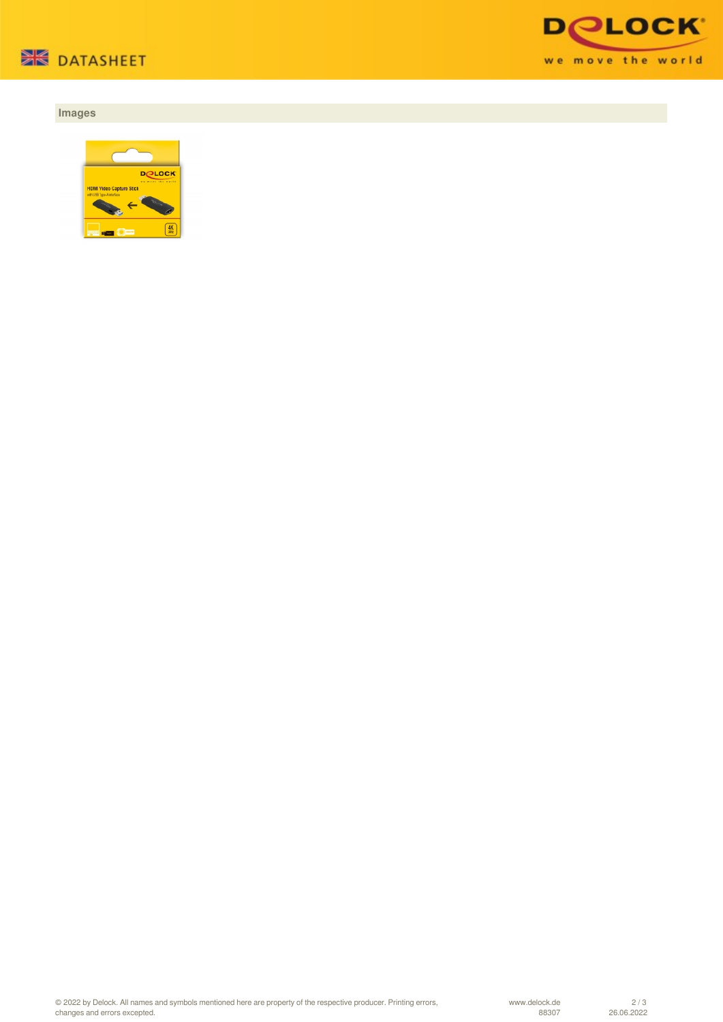

# **Images**